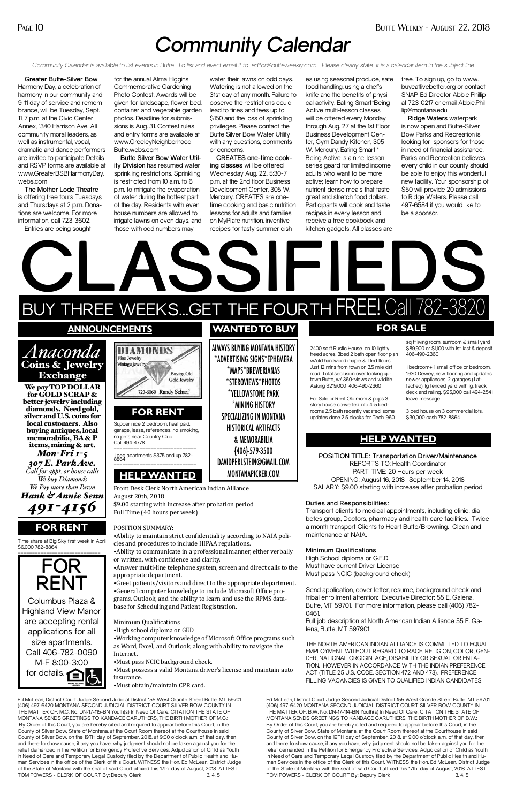## *Community Calendar*

*Community Calendar is available to list events in Butte. To list and event email it to editor@butteweekly.com. Please clearly state it is a calendar item in the subject line*

**Greater Butte-Silver Bow**  Harmony Day, a celebration of harmony in our community and 9-11 day of service and remembrance, will be Tuesday, Sept. 11, 7 p.m. at the Civic Center Annex, 1340 Harrison Ave. All community moral leaders, as well as instrumental, vocal, dramatic and dance performers are invited to participate Details and RSVP forms are available at www.GreaterBSBHarmonyDay. webs.com

**The Mother Lode Theatre**  is offering free tours Tuesdays and Thursdays at 2 p.m. Donations are welcome. For more information, call 723-3602.

Entries are being sought

for the annual Alma Higgins Commemorative Gardening Photo Contest. Awards will be given for landscape, flower bed, container and vegetable garden photos. Deadline for submissions is Aug. 31. Contest rules and entry forms are available at www.GreeleyNeighborhood-Butte.webs.com

**Butte Silver Bow Water Utility Division** has resumed water sprinkling restrictions. Sprinkling is restricted from 10 a.m. to 6 p.m. to mitigate the evaporation of water during the hottest part of the day. Residents with even house numbers are allowed to irrigate lawns on even days, and those with odd numbers may

water their lawns on odd days. Watering is not allowed on the 31st day of any month. Failure to observe the restrictions could lead to fines and fees up to \$150 and the loss of sprinkling privileges. Please contact the Butte Silver Bow Water Utility with any questions, comments or concerns.

**CREATES one-time cooking classes** will be offered Wednesday Aug. 22, 5:30-7 p.m. at the 2nd floor Business Development Center, 305 W. Mercury. CREATES are onetime cooking and basic nutrition lessons for adults and families on MyPlate nutrition, inventive recipes for tasty summer dish-

Columbus Plaza & Highland View Manor are accepting rental applications for all size apartments. Call 406-782-0090 M-F 8:00-3:00 for details.

es using seasonal produce, safe food handling, using a chef's knife and the benefits of physical activity. Eating Smart\*Being Active multi-lesson classes will be offered every Monday through Aug. 27 at the 1st Floor Business Development Center, Gym Dandy Kitchen, 305 W. Mercury. Eating Smart \* Being Active is a nine-lesson series geard for limited income adults who want to be more active; learn how to prepare nutrient dense meals that taste great and stretch food dollars. Participants will cook and taste recipes in every lesson and receive a free cookbook and kitchen gadgets. All classes are

free. To sign up, go to www. buyeatlivebetter.org or contact SNAP-Ed Director Abbie Phillip at 723-0217 or email Abbie.Phillip@montana.edu

**Ridge Waters** waterpark is now open and Butte-Silver Bow Parks and Recreation is looking for sponsors for those in need of financial assistance. Parks and Recreation believes every child in our county should be able to enjoy this wonderful new facility. Your sponsorship of \$50 will provide 20 admissions to Ridge Waters. Please call 497-6584 if you would like to be a sponsor.

Ed McLean, District Court Judge Second Judicial District 155 West Granite Street Butte, MT 59701 (406) 497-6420 MONTANA SECOND JUDICIAL DISTRICT COURT SILVER BOW COUNTY IN THE MATTER OF: M.C. No. DN-17-115-BN Youth(s) In Need Of Care. CITATION THE STATE OF MONTANA SENDS GREETINGS TO KANDACE CARUTHERS, THE BIRTH MOTHER OF M.C.: By Order of this Court, you are hereby cited and required to appear before this Court, in the County of Silver Bow, State of Montana, at the Court Room thereof at the Courthouse in said County of Silver Bow, on the 19TH day of September, 2018, at 9:00 o'clock a.m. of that day, then and there to show cause, if any you have, why judgment should not be taken against you for the relief demanded in the Petition for Emergency Protective Services, Adjudication of Child as Youth in Need of Care and Temporary Legal Custody filed by the Department of Public Health and Human Services in the office of the Clerk of this Court. WITNESS the Hon. Ed McLean, District Judge of the State of Montana with the seal of said Court affixed this 17th day of August, 2018. ATTEST: TOM POWERS - CLERK OF COURT By: Deputy Clerk



Ed McLean, District Court Judge Second Judicial District 155 West Granite Street Butte, MT 59701 (406) 497-6420 MONTANA SECOND JUDICIAL DISTRICT COURT SILVER BOW COUNTY IN THE MATTER OF: B.W. No. DN-17-114-BN Youth(s) In Need Of Care. CITATION THE STATE OF MONTANA SENDS GREETINGS TO KANDACE CARUTHERS, THE BIRTH MOTHER OF B.W.: By Order of this Court, you are hereby cited and required to appear before this Court, in the County of Silver Bow, State of Montana, at the Court Room thereof at the Courthouse in said County of Silver Bow, on the 19TH day of September, 2018, at 9:00 o'clock a.m. of that day, then and there to show cause, if any you have, why judgment should not be taken against you for the relief demanded in the Petition for Emergency Protective Services, Adjudication of Child as Youth in Need of Care and Temporary Legal Custody filed by the Department of Public Health and Human Services in the office of the Clerk of this Court. WITNESS the Hon. Ed McLean, District Judge of the State of Montana with the seal of said Court affixed this 17th day of August, 2018. ATTEST: TOM POWERS - CLERK OF COURT By: Deputy Clerk 3, 4, 5

1930 Dewey, new flooring and updates, tached), lg fenced yard with lg. treck deck and railing. \$95,000 call 494-2541



betes group, Doctors, pharmacy and health care facilities. Twice

## **Minimum Qualifications**

High School diploma or G.E.D. Must have current Driver License Must pass NCIC (background check)

Send application, cover letter, resume, background check and

tribal enrollment attention: Executive Director: 55 E. Galena, Butte, MT 59701. For more information, please call (406) 782- 0461.

Full job description at North American Indian Alliance 55 E. Galena, Butte, MT 597901

THE NORTH AMERICAN INDIAN ALLIANCE IS COMMITTED TO EQUAL EMPLOYMENT WITHOUT REGARD TO RACE, RELIGION, COLOR, GEN-DER, NATIONAL ORGIGIN, AGE, DISABILITY OR SEXUAL ORIENTA-TION. HOWEVER IN ACCORDANCE WITH THE INDIAN PREFERENCE ACT (TITLE 25 U.S. CODE. SECTION 472 AND 473). PREFERENCE FILLING VACANCIES IS GIVEN TO QUALIFIED INDIAN CANDIDATES.

⦁Ability to communicate in a professional manner, either verbally

or written, with confidence and clarity.

⦁Answer multi-line telephone system, screen and direct calls to the

appropriate department. ⦁Greet patients/visitors and direct to the appropriate department. ⦁General computer knowledge to include Microsoft Office programs, Outlook, and the ability to learn and use the RPMS database for Scheduling and Patient Registration.

\$89,900 or \$1,100 with 1st, last & deposit.

Minimum Qualifications

⦁High school diploma or GED

⦁Working computer knowledge of Microsoft Office programs such as Word, Excel, and Outlook, along with ability to navigate the Internet.

⦁Must pass NCIC background check.

⦁Must possess a valid Montana driver's license and maintain auto insurance.

⦁Must obtain/maintain CPR card.